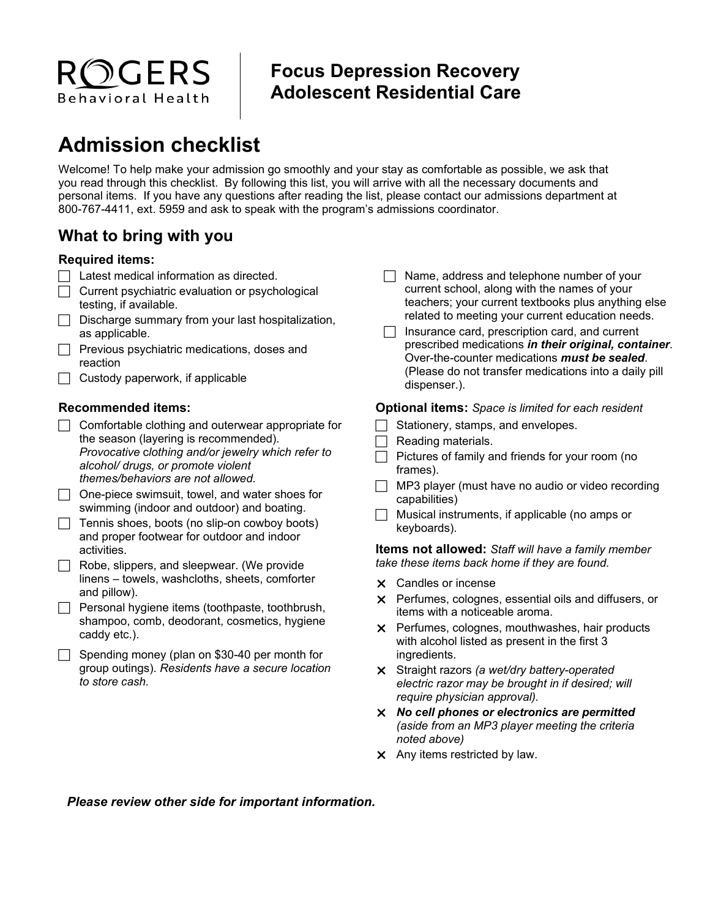# **Focus Depression Recovery Adolescent Residential Care**

# **Admission checklist**

ROGERS

Behavioral Health

Welcome! To help make your admission go smoothly and your stay as comfortable as possible, we ask that you read through this checklist. By following this list, you will arrive with all the necessary documents and personal items. If you have any questions after reading the list, please contact our admissions department at 800-767-4411, ext. 5959 and ask to speak with the program's admissions coordinator.

# **What to bring with you**

### **Required items:**

- $\Box$  Latest medical information as directed.
- $\Box$  Current psychiatric evaluation or psychological testing, if available.
- $\Box$  Discharge summary from your last hospitalization, as applicable.
- $\Box$  Previous psychiatric medications, doses and reaction
- Custody paperwork, if applicable

## **Recommended items:**

- $\Box$  Comfortable clothing and outerwear appropriate for the season (layering is recommended). *Provocative* c*lothing and/or jewelry which refer to alcohol/ drugs, or promote violent themes/behaviors are not allowed.*
- $\Box$  One-piece swimsuit, towel, and water shoes for swimming (indoor and outdoor) and boating.
- $\Box$  Tennis shoes, boots (no slip-on cowboy boots) and proper footwear for outdoor and indoor activities.
- $\Box$  Robe, slippers, and sleepwear. (We provide linens – towels, washcloths, sheets, comforter and pillow).
- $\Box$  Personal hygiene items (toothpaste, toothbrush, shampoo, comb, deodorant, cosmetics, hygiene caddy etc.).
- $\Box$  Spending money (plan on \$30-40 per month for group outings). *Residents have a secure location to store cash.*
- $\Box$  Name, address and telephone number of your current school, along with the names of your teachers; your current textbooks plus anything else related to meeting your current education needs.
- $\Box$  Insurance card, prescription card, and current prescribed medications *in their original, container*. Over-the-counter medications *must be sealed*. (Please do not transfer medications into a daily pill dispenser.).

#### **Optional items:** *Space is limited for each resident*

- $\Box$  Stationery, stamps, and envelopes.
- Reading materials.
- Pictures of family and friends for your room (no frames).
- $\Box$  MP3 player (must have no audio or video recording capabilities)
- Musical instruments, if applicable (no amps or keyboards).

**Items not allowed:** *Staff will have a family member take these items back home if they are found.* 

- Candles or incense
- X Perfumes, colognes, essential oils and diffusers, or items with a noticeable aroma.
- **X** Perfumes, colognes, mouthwashes, hair products with alcohol listed as present in the first 3 ingredients.
- Straight razors *(a wet/dry battery-operated electric razor may be brought in if desired; will require physician approval).*
- *No cell phones or electronics are permitted (aside from an MP3 player meeting the criteria noted above)*
- $\times$  Any items restricted by law.

*Please review other side for important information.*